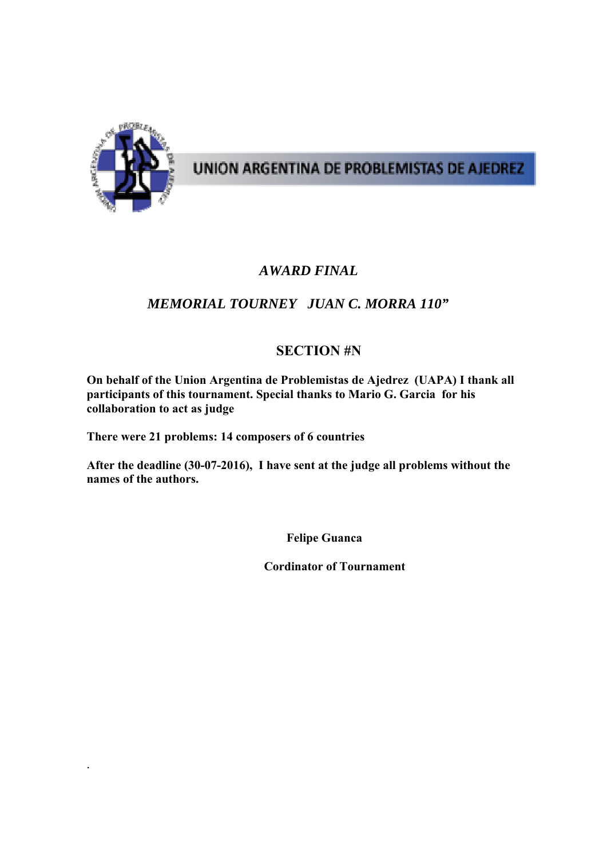

.

# UNION ARGENTINA DE PROBLEMISTAS DE AJEDREZ

### *AWARD FINAL*

## *MEMORIAL TOURNEY JUAN C. MORRA 110"*

### **SECTION #N**

**On behalf of the Union Argentina de Problemistas de Ajedrez (UAPA) I thank all participants of this tournament. Special thanks to Mario G. Garcia for his collaboration to act as judge** 

**There were 21 problems: 14 composers of 6 countries** 

**After the deadline (30-07-2016), I have sent at the judge all problems without the names of the authors.** 

 **Felipe Guanca** 

 **Cordinator of Tournament**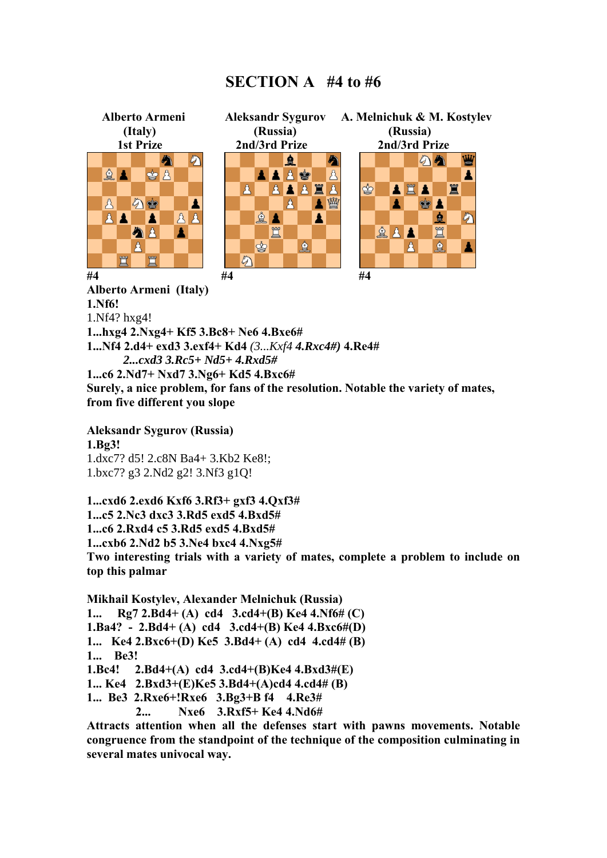#### **SECTION A #4 to #6**



**1...Nf4 2.d4+ exd3 3.exf4+ Kd4** *(3...Kxf4 4.Rxc4#)* **4.Re4#** *2...cxd3 3.Rc5+ Nd5+ 4.Rxd5#*  **1...c6 2.Nd7+ Nxd7 3.Ng6+ Kd5 4.Bxc6# Surely, a nice problem, for fans of the resolution. Notable the variety of mates, from five different you slope** 

**Aleksandr Sygurov (Russia) 1.Bg3!**  1.dxc7? d5! 2.c8N Ba4+ 3.Kb2 Ke8!; 1.bxc7? g3 2.Nd2 g2! 3.Nf3 g1Q!

**1...cxd6 2.exd6 Kxf6 3.Rf3+ gxf3 4.Qxf3# 1...c5 2.Nc3 dxc3 3.Rd5 exd5 4.Bxd5# 1...c6 2.Rxd4 c5 3.Rd5 exd5 4.Bxd5# 1...cxb6 2.Nd2 b5 3.Ne4 bxc4 4.Nxg5# Two interesting trials with a variety of mates, complete a problem to include on top this palmar** 

**Mikhail Kostylev, Alexander Melnichuk (Russia) 1... Rg7 2.Bd4+ (A) cd4 3.cd4+(B) Kе4 4.Nf6# (C) 1.Ba4? - 2.Bd4+ (A) cd4 3.cd4+(B) Kе4 4.Bxс6#(D) 1... Ke4 2.Bxс6+(D) Ke5 3.Bd4+ (A) cd4 4.cd4# (B) 1... Be3! 1.Bc4! 2.Bd4+(A) cd4 3.cd4+(B)Kе4 4.Bxd3#(E) 1... Kе4 2.Bxd3+(E)Kе5 3.Bd4+(A)cd4 4.cd4# (B) 1... Be3 2.Rxе6+!Rxе6 3.Bg3+B f4 4.Rе3# 2... Nxe6 3.Rxf5+ Kе4 4.Nd6#** 

**Attracts attention when all the defenses start with pawns movements. Notable congruence from the standpoint of the technique of the composition culminating in several mates univocal way.**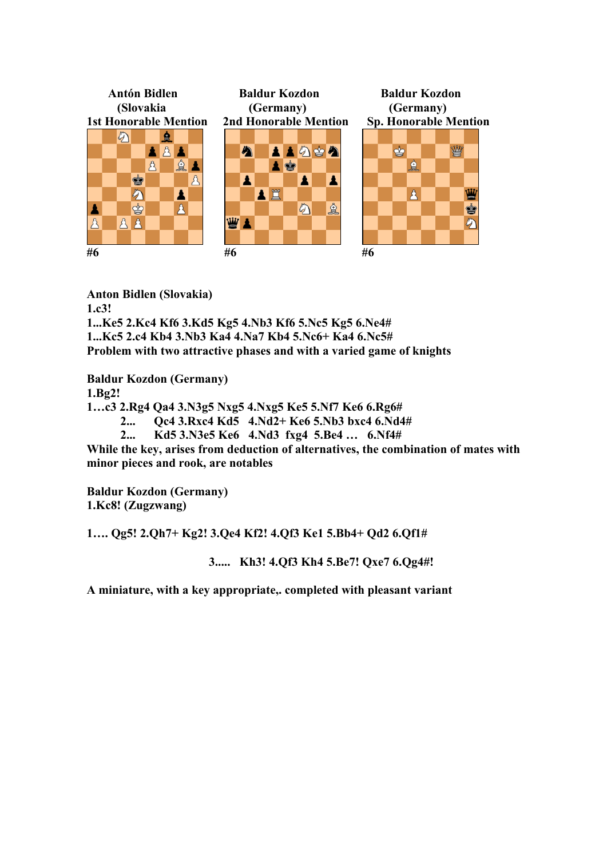

**Anton Bidlen (Slovakia) 1.c3!** 

**1...Ke5 2.Kc4 Kf6 3.Kd5 Kg5 4.Nb3 Kf6 5.Nc5 Kg5 6.Ne4# 1...Kc5 2.c4 Kb4 3.Nb3 Ka4 4.Na7 Kb4 5.Nc6+ Ka4 6.Nc5# Problem with two attractive phases and with a varied game of knights** 

**Baldur Kozdon (Germany) 1.Bg2!** 

**1…c3 2.Rg4 Qa4 3.N3g5 Nxg5 4.Nxg5 Ke5 5.Nf7 Ke6 6.Rg6#** 

**2... Qc4 3.Rxc4 Kd5 4.Nd2+ Ke6 5.Nb3 bxc4 6.Nd4#** 

 **2... Kd5 3.N3e5 Ke6 4.Nd3 fxg4 5.Be4 … 6.Nf4#** 

**While the key, arises from deduction of alternatives, the combination of mates with minor pieces and rook, are notables** 

**Baldur Kozdon (Germany) 1.Kc8! (Zugzwang)** 

**1…. Qg5! 2.Qh7+ Kg2! 3.Qe4 Kf2! 4.Qf3 Ke1 5.Bb4+ Qd2 6.Qf1#** 

 **3..... Kh3! 4.Qf3 Kh4 5.Be7! Qxe7 6.Qg4#!** 

**A miniature, with a key appropriate,. completed with pleasant variant**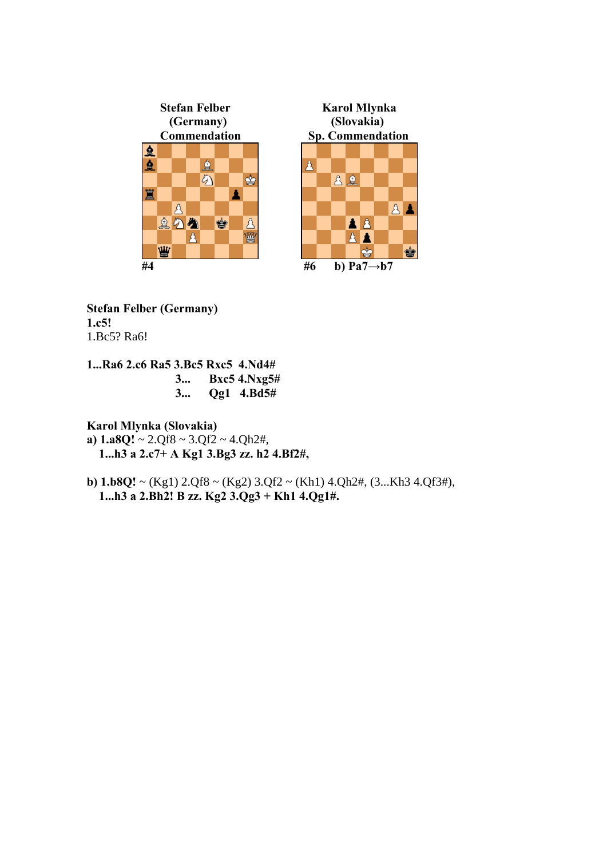



**Stefan Felber (Germany) 1.c5!**  1.Bc5? Ra6!

- **1...Ra6 2.c6 Ra5 3.Bc5 Rxc5 4.Nd4#** 
	- **3... Bxc5 4.Nxg5#**
	- **3... Qg1 4.Bd5#**

**Karol Mlynka (Slovakia)** 

- **a) 1.a8Q!** ~ 2.Qf8 ~ 3.Qf2 ~ 4.Qh2#,  **1...h3 a 2.c7+ A Kg1 3.Bg3 zz. h2 4.Bf2#,**
- **b) 1.b8Q!** ~ (Kg1) 2.Qf8 ~ (Kg2) 3.Qf2 ~ (Kh1) 4.Qh2#, (3...Kh3 4.Qf3#),  **1...h3 a 2.Bh2! B zz. Kg2 3.Qg3 + Kh1 4.Qg1#.**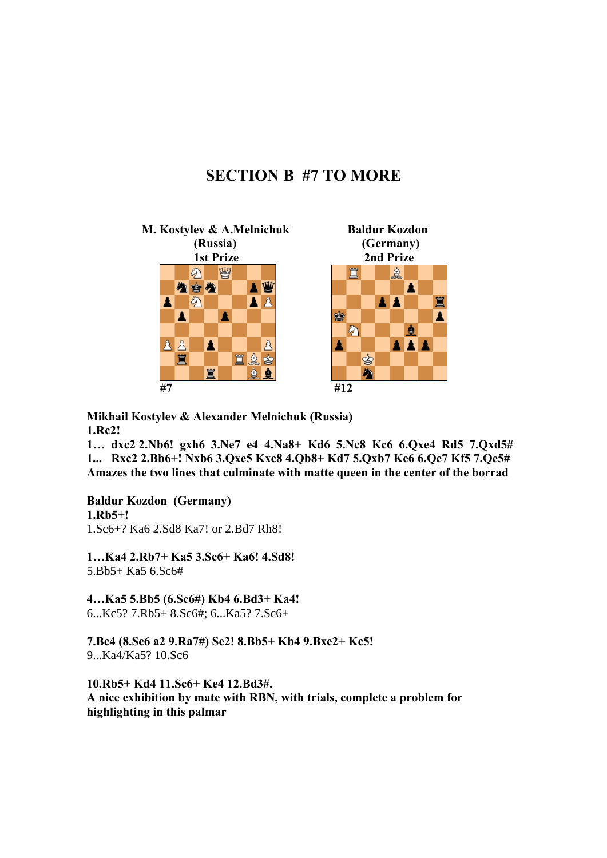## **SECTION B #7 TO MORE**



**Mikhail Kostylev & Alexander Melnichuk (Russia) 1.Rc2!** 

**1… dxc2 2.Nb6! gxh6 3.Ne7 e4 4.Na8+ Kd6 5.Nc8 Kc6 6.Qxe4 Rd5 7.Qxd5# 1... Rxс2 2.Bb6+! Nxb6 3.Qxe5 Kxc8 4.Qb8+ Kd7 5.Qxb7 Ke6 6.Qe7 Kf5 7.Qe5# Amazes the two lines that culminate with matte queen in the center of the borrad** 

**Baldur Kozdon (Germany) 1.Rb5+!**  1.Sc6+? Ka6 2.Sd8 Ka7! or 2.Bd7 Rh8!

**1…Ka4 2.Rb7+ Ka5 3.Sc6+ Ka6! 4.Sd8!**  5.Bb5+ Ka5 6.Sc6#

**4…Ka5 5.Bb5 (6.Sc6#) Kb4 6.Bd3+ Ka4!**  6...Kc5? 7.Rb5+ 8.Sc6#; 6...Ka5? 7.Sc6+

**7.Bc4 (8.Sc6 a2 9.Ra7#) Se2! 8.Bb5+ Kb4 9.Bxe2+ Kc5!**  9...Ka4/Ka5? 10.Sc6

**10.Rb5+ Kd4 11.Sc6+ Ke4 12.Bd3#. A nice exhibition by mate with RBN, with trials, complete a problem for highlighting in this palmar**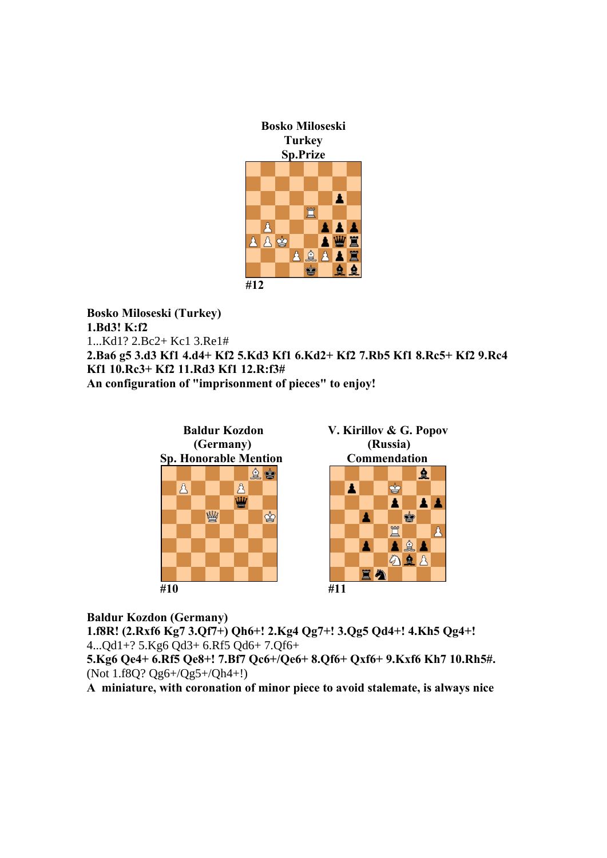

**Bosko Miloseski (Turkey) 1.Bd3! K:f2**  1...Kd1? 2.Bc2+ Kc1 3.Re1# **2.Ba6 g5 3.d3 Kf1 4.d4+ Kf2 5.Kd3 Kf1 6.Kd2+ Kf2 7.Rb5 Kf1 8.Rc5+ Kf2 9.Rc4 Kf1 10.Rc3+ Kf2 11.Rd3 Kf1 12.R:f3# An configuration of "imprisonment of pieces" to enjoy!** 



**Baldur Kozdon (Germany)** 

**1.f8R! (2.Rxf6 Kg7 3.Qf7+) Qh6+! 2.Kg4 Qg7+! 3.Qg5 Qd4+! 4.Kh5 Qg4+!**  4...Qd1+? 5.Kg6 Qd3+ 6.Rf5 Qd6+ 7.Qf6+

**5.Kg6 Qe4+ 6.Rf5 Qe8+! 7.Bf7 Qc6+/Qe6+ 8.Qf6+ Qxf6+ 9.Kxf6 Kh7 10.Rh5#.**  (Not 1.f8Q? Qg6+/Qg5+/Qh4+!)

**A miniature, with coronation of minor piece to avoid stalemate, is always nice**